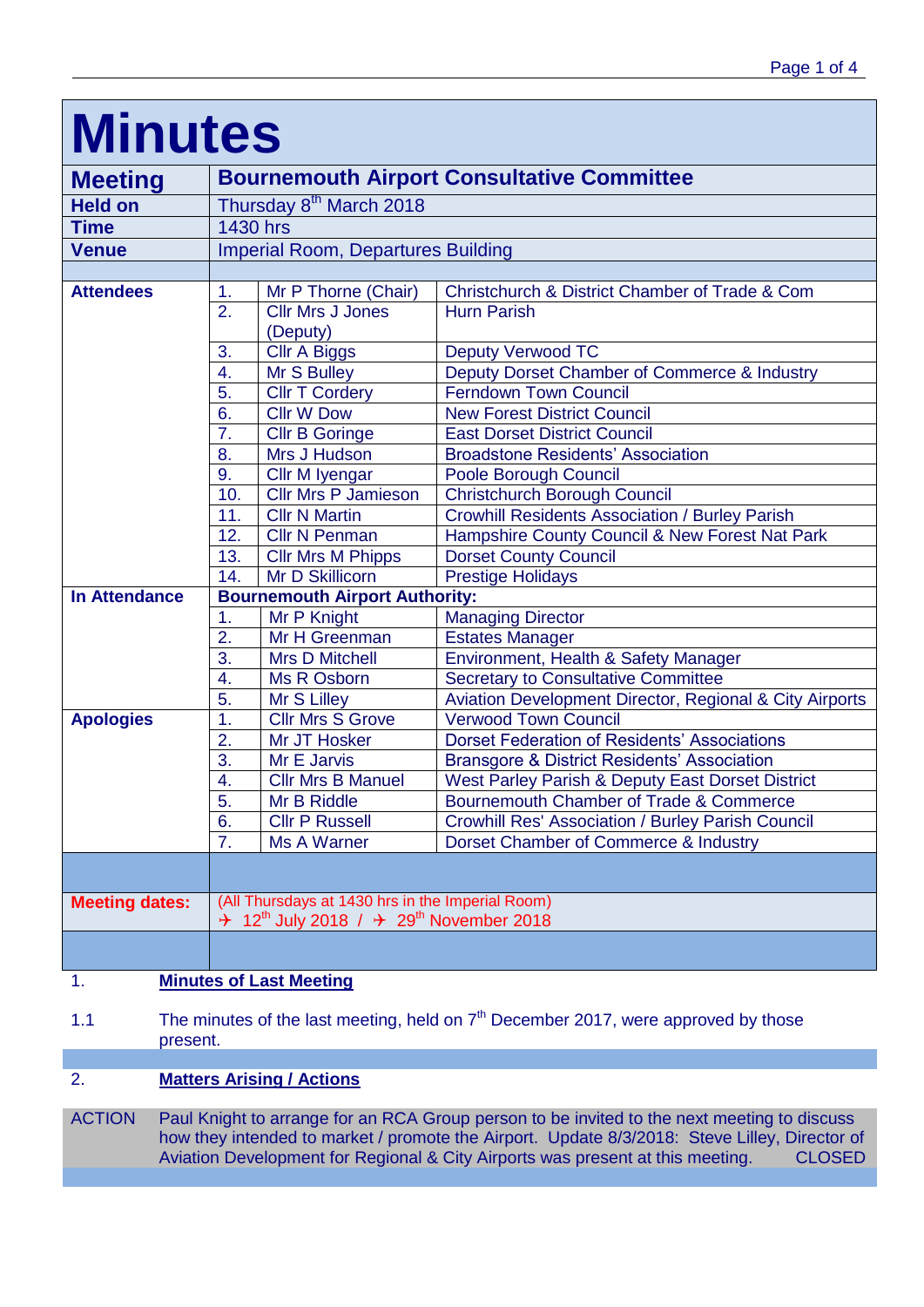| <b>Minutes</b>        |                                                                                                                               |                                     |                                                                                             |  |  |  |
|-----------------------|-------------------------------------------------------------------------------------------------------------------------------|-------------------------------------|---------------------------------------------------------------------------------------------|--|--|--|
| <b>Meeting</b>        | <b>Bournemouth Airport Consultative Committee</b>                                                                             |                                     |                                                                                             |  |  |  |
| <b>Held on</b>        | Thursday 8 <sup>th</sup> March 2018                                                                                           |                                     |                                                                                             |  |  |  |
| <b>Time</b>           | 1430 hrs                                                                                                                      |                                     |                                                                                             |  |  |  |
| <b>Venue</b>          | <b>Imperial Room, Departures Building</b>                                                                                     |                                     |                                                                                             |  |  |  |
|                       |                                                                                                                               |                                     |                                                                                             |  |  |  |
| <b>Attendees</b>      | 1.                                                                                                                            | Mr P Thorne (Chair)                 | Christchurch & District Chamber of Trade & Com                                              |  |  |  |
|                       | 2.                                                                                                                            | <b>Cllr Mrs J Jones</b><br>(Deputy) | <b>Hurn Parish</b>                                                                          |  |  |  |
|                       | 3.                                                                                                                            | Cllr A Biggs                        | <b>Deputy Verwood TC</b>                                                                    |  |  |  |
|                       | 4.                                                                                                                            | Mr S Bulley                         | Deputy Dorset Chamber of Commerce & Industry                                                |  |  |  |
|                       | 5.                                                                                                                            | <b>Cllr T Cordery</b>               | <b>Ferndown Town Council</b>                                                                |  |  |  |
|                       | 6.                                                                                                                            | <b>Cllr W Dow</b>                   | <b>New Forest District Council</b>                                                          |  |  |  |
|                       | $\overline{7}$ .                                                                                                              | <b>Cllr B Goringe</b>               | <b>East Dorset District Council</b>                                                         |  |  |  |
|                       | 8.                                                                                                                            | Mrs J Hudson                        | <b>Broadstone Residents' Association</b>                                                    |  |  |  |
|                       | 9.                                                                                                                            | Cllr M Iyengar                      | Poole Borough Council                                                                       |  |  |  |
|                       | 10.                                                                                                                           | <b>Cllr Mrs P Jamieson</b>          | <b>Christchurch Borough Council</b>                                                         |  |  |  |
|                       | 11.                                                                                                                           | <b>Cllr N Martin</b>                | <b>Crowhill Residents Association / Burley Parish</b>                                       |  |  |  |
|                       | 12.                                                                                                                           | <b>Cllr N Penman</b>                | Hampshire County Council & New Forest Nat Park                                              |  |  |  |
|                       | 13.                                                                                                                           | <b>Cllr Mrs M Phipps</b>            | <b>Dorset County Council</b>                                                                |  |  |  |
|                       | 14.                                                                                                                           | Mr D Skillicorn                     | <b>Prestige Holidays</b>                                                                    |  |  |  |
| <b>In Attendance</b>  | <b>Bournemouth Airport Authority:</b>                                                                                         |                                     |                                                                                             |  |  |  |
|                       | 1.                                                                                                                            | Mr P Knight                         | <b>Managing Director</b>                                                                    |  |  |  |
|                       | $\overline{2}$ .                                                                                                              | Mr H Greenman                       | <b>Estates Manager</b>                                                                      |  |  |  |
|                       | 3.                                                                                                                            | <b>Mrs D Mitchell</b>               | Environment, Health & Safety Manager                                                        |  |  |  |
|                       | 4.                                                                                                                            | Ms R Osborn                         | <b>Secretary to Consultative Committee</b>                                                  |  |  |  |
|                       | 5.                                                                                                                            | Mr S Lilley                         | Aviation Development Director, Regional & City Airports                                     |  |  |  |
| <b>Apologies</b>      | 1.                                                                                                                            | <b>Cllr Mrs S Grove</b>             | <b>Verwood Town Council</b>                                                                 |  |  |  |
|                       | $\overline{2}$ .<br>3.                                                                                                        | Mr JT Hosker<br>Mr E Jarvis         | <b>Dorset Federation of Residents' Associations</b>                                         |  |  |  |
|                       | 4.                                                                                                                            | <b>Cllr Mrs B Manuel</b>            | <b>Bransgore &amp; District Residents' Association</b>                                      |  |  |  |
|                       | 5                                                                                                                             | Mr B Riddle                         | West Parley Parish & Deputy East Dorset District<br>Bournemouth Chamber of Trade & Commerce |  |  |  |
|                       | 6.                                                                                                                            | <b>Cllr P Russell</b>               | Crowhill Res' Association / Burley Parish Council                                           |  |  |  |
|                       | 7.                                                                                                                            | <b>Ms A Warner</b>                  |                                                                                             |  |  |  |
|                       |                                                                                                                               |                                     | Dorset Chamber of Commerce & Industry                                                       |  |  |  |
|                       |                                                                                                                               |                                     |                                                                                             |  |  |  |
| <b>Meeting dates:</b> | (All Thursdays at 1430 hrs in the Imperial Room)<br>$\div$ 12 <sup>th</sup> July 2018 / $\div$ 29 <sup>th</sup> November 2018 |                                     |                                                                                             |  |  |  |
|                       |                                                                                                                               |                                     |                                                                                             |  |  |  |

# 1. **Minutes of Last Meeting**

1.1 The minutes of the last meeting, held on  $7<sup>th</sup>$  December 2017, were approved by those present.

# 2. **Matters Arising / Actions**

ACTION Paul Knight to arrange for an RCA Group person to be invited to the next meeting to discuss how they intended to market / promote the Airport. Update 8/3/2018: Steve Lilley, Director of Aviation Development for Regional & City Airports was present at this meeting. CLOSED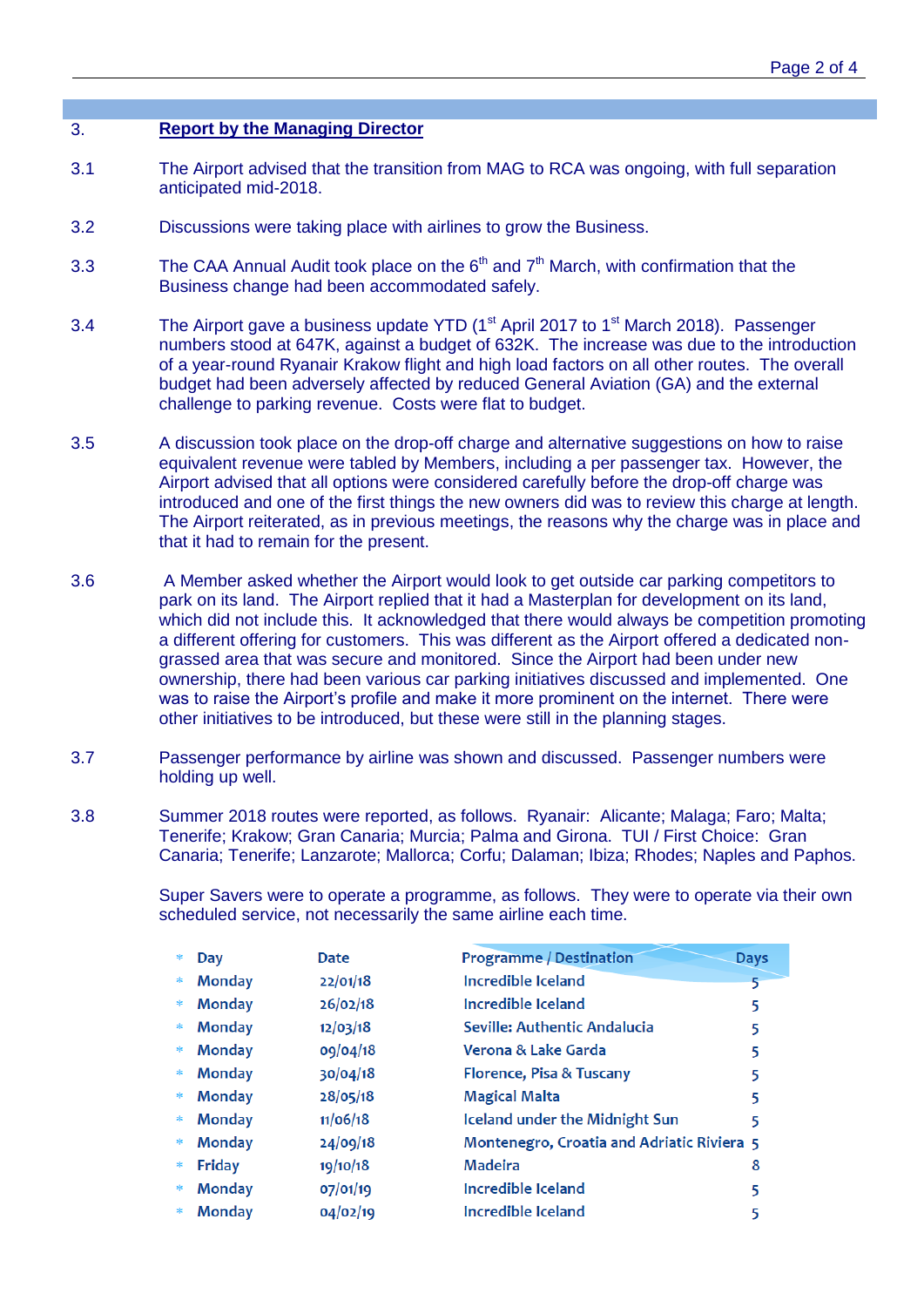## 3. **Report by the Managing Director**

- 3.1 The Airport advised that the transition from MAG to RCA was ongoing, with full separation anticipated mid-2018.
- 3.2 Discussions were taking place with airlines to grow the Business.
- 3.3 The CAA Annual Audit took place on the  $6<sup>th</sup>$  and  $7<sup>th</sup>$  March, with confirmation that the Business change had been accommodated safely.
- 3.4 The Airport gave a business update YTD ( $1<sup>st</sup>$  April 2017 to  $1<sup>st</sup>$  March 2018). Passenger numbers stood at 647K, against a budget of 632K. The increase was due to the introduction of a year-round Ryanair Krakow flight and high load factors on all other routes. The overall budget had been adversely affected by reduced General Aviation (GA) and the external challenge to parking revenue. Costs were flat to budget.
- 3.5 A discussion took place on the drop-off charge and alternative suggestions on how to raise equivalent revenue were tabled by Members, including a per passenger tax. However, the Airport advised that all options were considered carefully before the drop-off charge was introduced and one of the first things the new owners did was to review this charge at length. The Airport reiterated, as in previous meetings, the reasons why the charge was in place and that it had to remain for the present.
- 3.6 A Member asked whether the Airport would look to get outside car parking competitors to park on its land. The Airport replied that it had a Masterplan for development on its land, which did not include this. It acknowledged that there would always be competition promoting a different offering for customers. This was different as the Airport offered a dedicated nongrassed area that was secure and monitored. Since the Airport had been under new ownership, there had been various car parking initiatives discussed and implemented. One was to raise the Airport's profile and make it more prominent on the internet. There were other initiatives to be introduced, but these were still in the planning stages.
- 3.7 Passenger performance by airline was shown and discussed. Passenger numbers were holding up well.
- 3.8 Summer 2018 routes were reported, as follows. Ryanair: Alicante; Malaga; Faro; Malta; Tenerife; Krakow; Gran Canaria; Murcia; Palma and Girona. TUI / First Choice: Gran Canaria; Tenerife; Lanzarote; Mallorca; Corfu; Dalaman; Ibiza; Rhodes; Naples and Paphos.

Super Savers were to operate a programme, as follows. They were to operate via their own scheduled service, not necessarily the same airline each time.

| *      | Day           | Date     | <b>Programme / Destination</b>             | <b>Days</b> |
|--------|---------------|----------|--------------------------------------------|-------------|
| $\ast$ | <b>Monday</b> | 22/01/18 | Incredible Iceland                         |             |
| $\ast$ | <b>Monday</b> | 26/02/18 | Incredible Iceland                         | 5           |
| $\ast$ | <b>Monday</b> | 12/03/18 | Seville: Authentic Andalucia               | 5           |
| $\ast$ | <b>Monday</b> | 09/04/18 | Verona & Lake Garda                        |             |
| *      | <b>Monday</b> | 30/04/18 | Florence, Pisa & Tuscany                   |             |
| $\ast$ | Monday        | 28/05/18 | <b>Magical Malta</b>                       |             |
| $\ast$ | <b>Monday</b> | 11/06/18 | Iceland under the Midnight Sun             | 5           |
| *      | <b>Monday</b> | 24/09/18 | Montenegro, Croatia and Adriatic Riviera 5 |             |
| $\ast$ | Friday        | 19/10/18 | <b>Madeira</b>                             | 8           |
| *      | <b>Monday</b> | 07/01/19 | Incredible Iceland                         | 5           |
| 卡      | <b>Monday</b> | 04/02/19 | Incredible Iceland                         |             |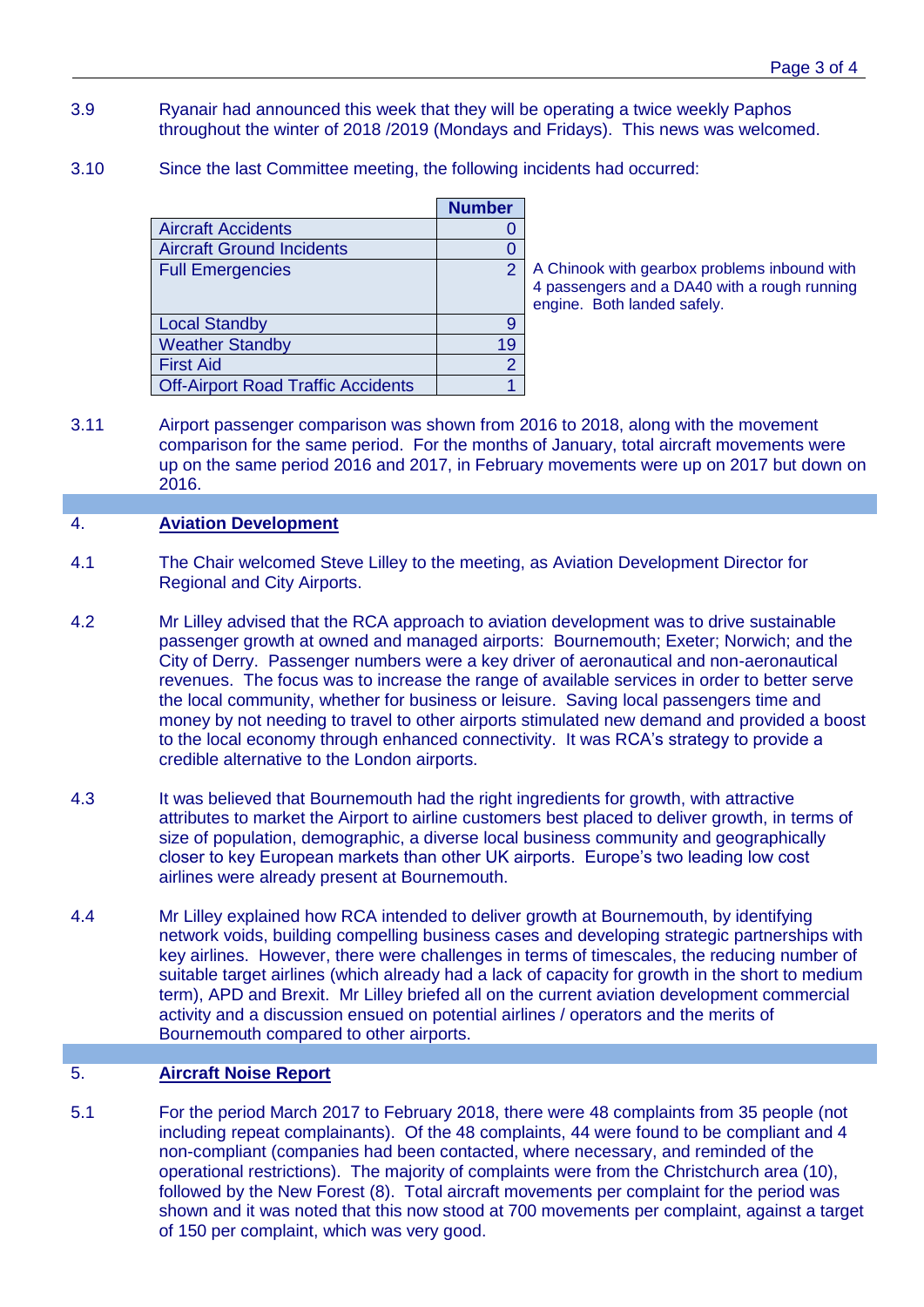- 3.9 Ryanair had announced this week that they will be operating a twice weekly Paphos throughout the winter of 2018 /2019 (Mondays and Fridays). This news was welcomed.
- 3.10 Since the last Committee meeting, the following incidents had occurred:

|                                           | <b>Number</b>  |
|-------------------------------------------|----------------|
| <b>Aircraft Accidents</b>                 |                |
| <b>Aircraft Ground Incidents</b>          |                |
| <b>Full Emergencies</b>                   | 2              |
|                                           |                |
|                                           |                |
| <b>Local Standby</b>                      | 9              |
| <b>Weather Standby</b>                    | 19             |
| <b>First Aid</b>                          | $\overline{2}$ |
| <b>Off-Airport Road Traffic Accidents</b> |                |

A Chinook with gearbox problems inbound with 4 passengers and a DA40 with a rough running engine. Both landed safely.

3.11 Airport passenger comparison was shown from 2016 to 2018, along with the movement comparison for the same period. For the months of January, total aircraft movements were up on the same period 2016 and 2017, in February movements were up on 2017 but down on 2016.

#### 4. **Aviation Development**

- 4.1 The Chair welcomed Steve Lilley to the meeting, as Aviation Development Director for Regional and City Airports.
- 4.2 Mr Lilley advised that the RCA approach to aviation development was to drive sustainable passenger growth at owned and managed airports: Bournemouth; Exeter; Norwich; and the City of Derry. Passenger numbers were a key driver of aeronautical and non-aeronautical revenues. The focus was to increase the range of available services in order to better serve the local community, whether for business or leisure. Saving local passengers time and money by not needing to travel to other airports stimulated new demand and provided a boost to the local economy through enhanced connectivity. It was RCA's strategy to provide a credible alternative to the London airports.
- 4.3 It was believed that Bournemouth had the right ingredients for growth, with attractive attributes to market the Airport to airline customers best placed to deliver growth, in terms of size of population, demographic, a diverse local business community and geographically closer to key European markets than other UK airports. Europe's two leading low cost airlines were already present at Bournemouth.
- 4.4 Mr Lilley explained how RCA intended to deliver growth at Bournemouth, by identifying network voids, building compelling business cases and developing strategic partnerships with key airlines. However, there were challenges in terms of timescales, the reducing number of suitable target airlines (which already had a lack of capacity for growth in the short to medium term), APD and Brexit. Mr Lilley briefed all on the current aviation development commercial activity and a discussion ensued on potential airlines / operators and the merits of Bournemouth compared to other airports.

#### 5. **Aircraft Noise Report**

5.1 For the period March 2017 to February 2018, there were 48 complaints from 35 people (not including repeat complainants). Of the 48 complaints, 44 were found to be compliant and 4 non-compliant (companies had been contacted, where necessary, and reminded of the operational restrictions). The majority of complaints were from the Christchurch area (10), followed by the New Forest (8). Total aircraft movements per complaint for the period was shown and it was noted that this now stood at 700 movements per complaint, against a target of 150 per complaint, which was very good.